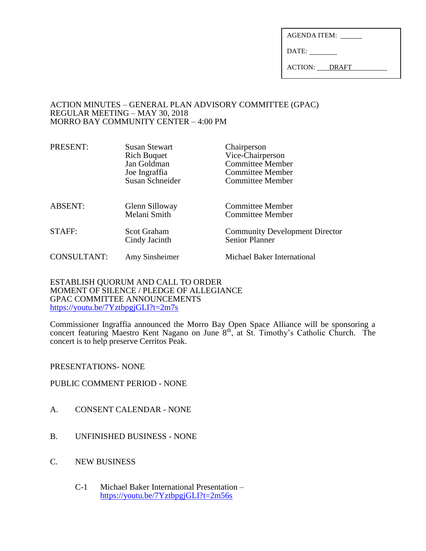| <b>AGENDA ITEM:</b> |  |
|---------------------|--|
| DATE:               |  |

ACTION: DRAFT

### ACTION MINUTES – GENERAL PLAN ADVISORY COMMITTEE (GPAC) REGULAR MEETING – MAY 30, 2018 MORRO BAY COMMUNITY CENTER – 4:00 PM

| PRESENT:           | <b>Susan Stewart</b><br><b>Rich Buquet</b><br>Jan Goldman<br>Joe Ingraffia<br>Susan Schneider | Chairperson<br>Vice-Chairperson<br><b>Committee Member</b><br><b>Committee Member</b><br><b>Committee Member</b> |
|--------------------|-----------------------------------------------------------------------------------------------|------------------------------------------------------------------------------------------------------------------|
| <b>ABSENT:</b>     | Glenn Silloway<br>Melani Smith                                                                | <b>Committee Member</b><br><b>Committee Member</b>                                                               |
| STAFF:             | <b>Scot Graham</b><br>Cindy Jacinth                                                           | <b>Community Development Director</b><br><b>Senior Planner</b>                                                   |
| <b>CONSULTANT:</b> | Amy Sinsheimer                                                                                | Michael Baker International                                                                                      |

ESTABLISH QUORUM AND CALL TO ORDER MOMENT OF SILENCE / PLEDGE OF ALLEGIANCE GPAC COMMITTEE ANNOUNCEMENTS <https://youtu.be/7YztbpgjGLI?t=2m7s>

Commissioner Ingraffia announced the Morro Bay Open Space Alliance will be sponsoring a confirms solid ingularity and the concert featuring Maestro Kent Nagano on June 8<sup>th</sup>, at St. Timothy's Catholic Church. The concert is to help preserve Cerritos Peak.

#### PRESENTATIONS- NONE

## PUBLIC COMMENT PERIOD - NONE

- A. CONSENT CALENDAR NONE
- B. UNFINISHED BUSINESS NONE
- C. NEW BUSINESS
	- C-1 Michael Baker International Presentation <https://youtu.be/7YztbpgjGLI?t=2m56s>